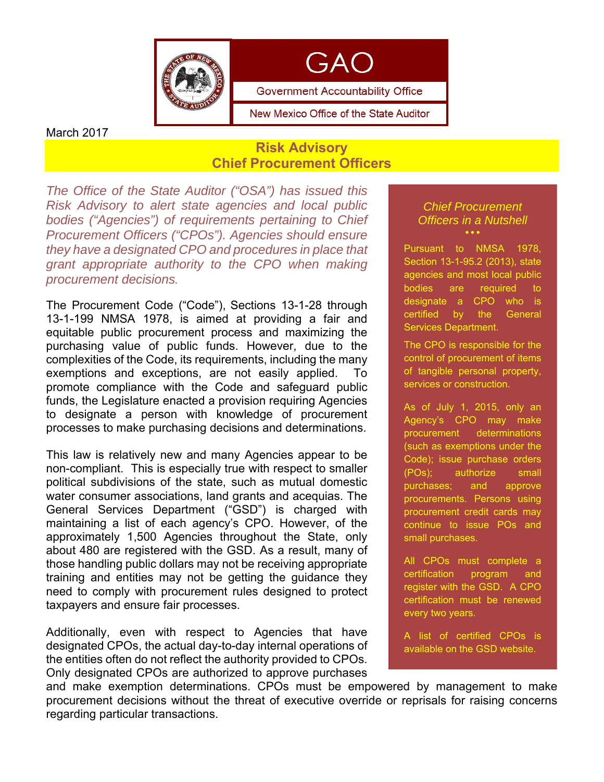



New Mexico Office of the State Auditor

March 2017

## **Risk Advisory Chief Procurement Officers**

*The Office of the State Auditor ("OSA") has issued this Risk Advisory to alert state agencies and local public bodies ("Agencies") of requirements pertaining to Chief Procurement Officers ("CPOs"). Agencies should ensure they have a designated CPO and procedures in place that grant appropriate authority to the CPO when making procurement decisions.* 

The Procurement Code ("Code"), Sections 13-1-28 through 13-1-199 NMSA 1978, is aimed at providing a fair and equitable public procurement process and maximizing the purchasing value of public funds. However, due to the complexities of the Code, its requirements, including the many exemptions and exceptions, are not easily applied. To promote compliance with the Code and safeguard public funds, the Legislature enacted a provision requiring Agencies to designate a person with knowledge of procurement processes to make purchasing decisions and determinations.

This law is relatively new and many Agencies appear to be non-compliant. This is especially true with respect to smaller political subdivisions of the state, such as mutual domestic water consumer associations, land grants and acequias. The General Services Department ("GSD") is charged with maintaining a list of each agency's CPO. However, of the approximately 1,500 Agencies throughout the State, only about 480 are registered with the GSD. As a result, many of those handling public dollars may not be receiving appropriate training and entities may not be getting the guidance they need to comply with procurement rules designed to protect taxpayers and ensure fair processes.

Additionally, even with respect to Agencies that have designated CPOs, the actual day-to-day internal operations of the entities often do not reflect the authority provided to CPOs. Only designated CPOs are authorized to approve purchases

#### *Chief Procurement Officers in a Nutshell*  $\ddot{\bullet}$

Pursuant to NMSA 1978, Section 13-1-95.2 (2013), state agencies and most local public bodies are required to designate a CPO who is certified by the General Services Department.

The CPO is responsible for the control of procurement of items of tangible personal property, services or construction.

As of July 1, 2015, only an Agency's CPO may make procurement determinations (such as exemptions under the Code); issue purchase orders (POs); authorize small purchases; and approve procurements. Persons using procurement credit cards may continue to issue POs and small purchases.

All CPOs must complete a certification program and register with the GSD. A CPO certification must be renewed every two years.

A list of certified CPOs is available on the GSD website.

and make exemption determinations. CPOs must be empowered by management to make procurement decisions without the threat of executive override or reprisals for raising concerns regarding particular transactions.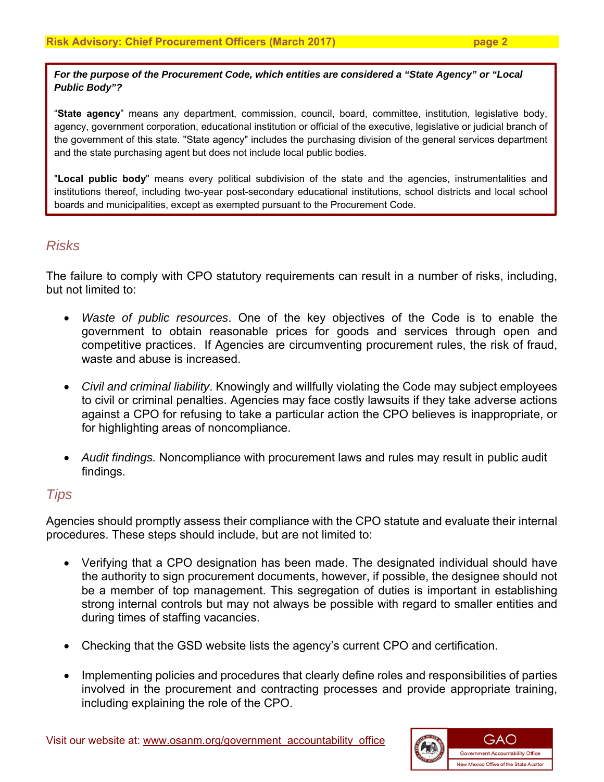*For the purpose of the Procurement Code, which entities are considered a "State Agency" or "Local Public Body"?* 

"**State agency**" means any department, commission, council, board, committee, institution, legislative body, agency, government corporation, educational institution or official of the executive, legislative or judicial branch of the government of this state. "State agency" includes the purchasing division of the general services department and the state purchasing agent but does not include local public bodies.

"**Local public body**" means every political subdivision of the state and the agencies, instrumentalities and institutions thereof, including two-year post-secondary educational institutions, school districts and local school boards and municipalities, except as exempted pursuant to the Procurement Code.

# *Risks*

The failure to comply with CPO statutory requirements can result in a number of risks, including, but not limited to:

- *Waste of public resources*. One of the key objectives of the Code is to enable the government to obtain reasonable prices for goods and services through open and competitive practices. If Agencies are circumventing procurement rules, the risk of fraud, waste and abuse is increased.
- *Civil and criminal liability*. Knowingly and willfully violating the Code may subject employees to civil or criminal penalties. Agencies may face costly lawsuits if they take adverse actions against a CPO for refusing to take a particular action the CPO believes is inappropriate, or for highlighting areas of noncompliance.
- *Audit findings.* Noncompliance with procurement laws and rules may result in public audit findings.

## *Tips*

Agencies should promptly assess their compliance with the CPO statute and evaluate their internal procedures. These steps should include, but are not limited to:

- Verifying that a CPO designation has been made. The designated individual should have the authority to sign procurement documents, however, if possible, the designee should not be a member of top management. This segregation of duties is important in establishing strong internal controls but may not always be possible with regard to smaller entities and during times of staffing vacancies.
- Checking that the GSD website lists the agency's current CPO and certification.
- Implementing policies and procedures that clearly define roles and responsibilities of parties involved in the procurement and contracting processes and provide appropriate training, including explaining the role of the CPO.